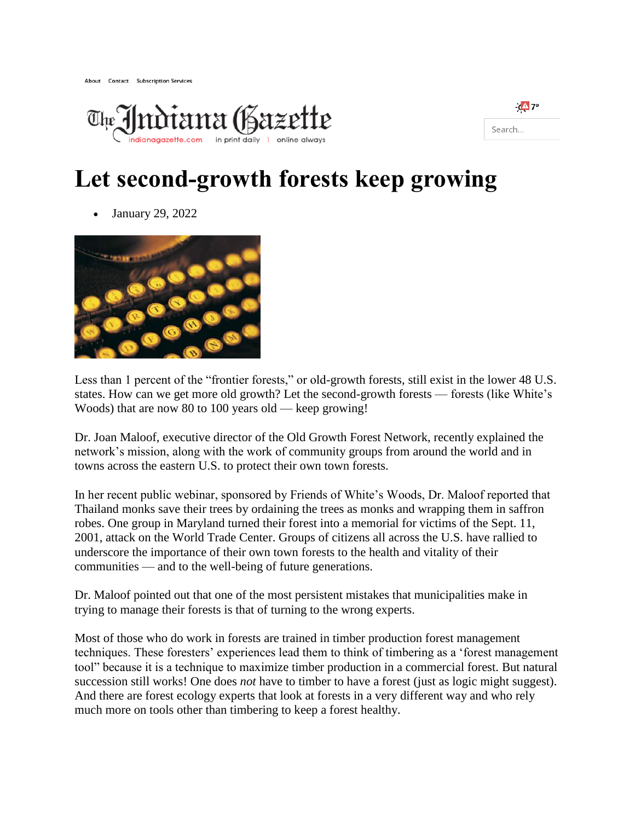



## **Let second-growth forests keep growing**

January 29, 2022



Less than 1 percent of the "frontier forests," or old-growth forests, still exist in the lower 48 U.S. states. How can we get more old growth? Let the second-growth forests — forests (like White's Woods) that are now 80 to 100 years old — keep growing!

Dr. Joan Maloof, executive director of the Old Growth Forest Network, recently explained the network's mission, along with the work of community groups from around the world and in towns across the eastern U.S. to protect their own town forests.

In her recent public webinar, sponsored by Friends of White's Woods, Dr. Maloof reported that Thailand monks save their trees by ordaining the trees as monks and wrapping them in saffron robes. One group in Maryland turned their forest into a memorial for victims of the Sept. 11, 2001, attack on the World Trade Center. Groups of citizens all across the U.S. have rallied to underscore the importance of their own town forests to the health and vitality of their communities — and to the well-being of future generations.

Dr. Maloof pointed out that one of the most persistent mistakes that municipalities make in trying to manage their forests is that of turning to the wrong experts.

Most of those who do work in forests are trained in timber production forest management techniques. These foresters' experiences lead them to think of timbering as a 'forest management tool" because it is a technique to maximize timber production in a commercial forest. But natural succession still works! One does *not* have to timber to have a forest (just as logic might suggest). And there are forest ecology experts that look at forests in a very different way and who rely much more on tools other than timbering to keep a forest healthy.